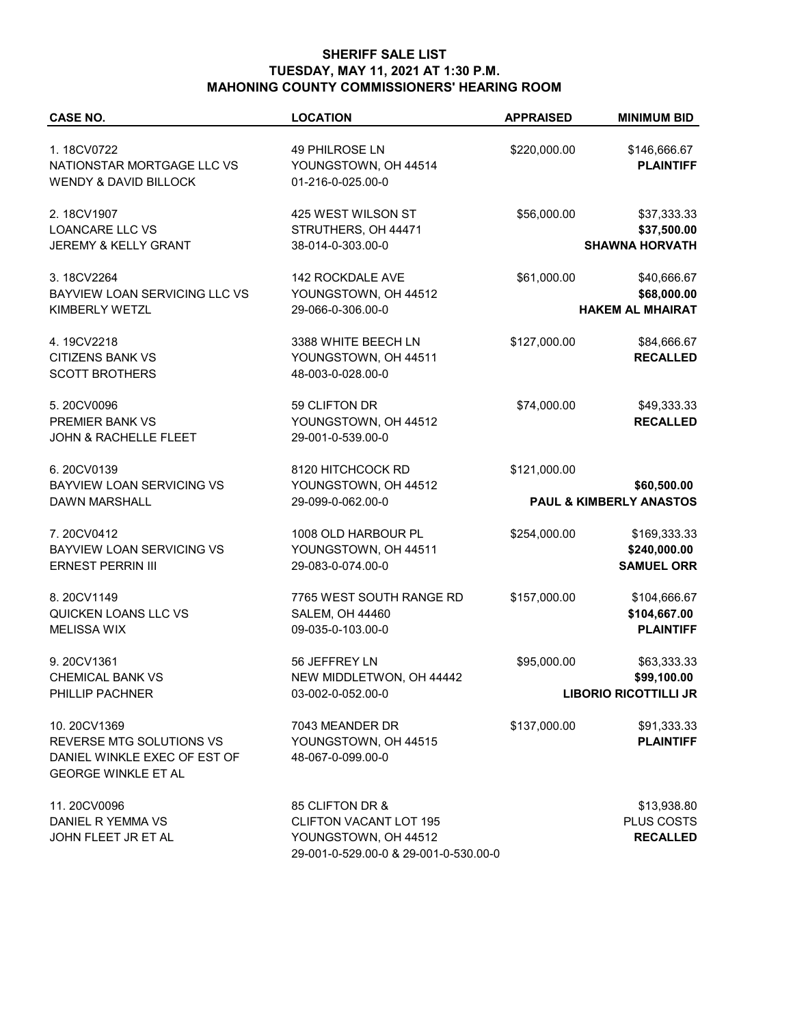## **SHERIFF SALE LIST TUESDAY, MAY 11, 2021 AT 1:30 P.M. MAHONING COUNTY COMMISSIONERS' HEARING ROOM**

| <b>CASE NO.</b>                                                                                       | <b>LOCATION</b>                                                                                                   | <b>APPRAISED</b> | <b>MINIMUM BID</b>                                         |
|-------------------------------------------------------------------------------------------------------|-------------------------------------------------------------------------------------------------------------------|------------------|------------------------------------------------------------|
| 1.18CV0722<br>NATIONSTAR MORTGAGE LLC VS<br><b>WENDY &amp; DAVID BILLOCK</b>                          | 49 PHILROSE LN<br>YOUNGSTOWN, OH 44514<br>01-216-0-025.00-0                                                       | \$220,000.00     | \$146,666.67<br><b>PLAINTIFF</b>                           |
| 2.18CV1907<br><b>LOANCARE LLC VS</b><br>JEREMY & KELLY GRANT                                          | 425 WEST WILSON ST<br>STRUTHERS, OH 44471<br>38-014-0-303.00-0                                                    | \$56,000.00      | \$37,333.33<br>\$37,500.00<br><b>SHAWNA HORVATH</b>        |
| 3.18CV2264<br>BAYVIEW LOAN SERVICING LLC VS<br>KIMBERLY WETZL                                         | 142 ROCKDALE AVE<br>YOUNGSTOWN, OH 44512<br>29-066-0-306.00-0                                                     | \$61,000.00      | \$40,666.67<br>\$68,000.00<br><b>HAKEM AL MHAIRAT</b>      |
| 4.19CV2218<br><b>CITIZENS BANK VS</b><br><b>SCOTT BROTHERS</b>                                        | 3388 WHITE BEECH LN<br>YOUNGSTOWN, OH 44511<br>48-003-0-028.00-0                                                  | \$127,000.00     | \$84,666.67<br><b>RECALLED</b>                             |
| 5.20CV0096<br>PREMIER BANK VS<br><b>JOHN &amp; RACHELLE FLEET</b>                                     | 59 CLIFTON DR<br>YOUNGSTOWN, OH 44512<br>29-001-0-539.00-0                                                        | \$74,000.00      | \$49,333.33<br><b>RECALLED</b>                             |
| 6.20CV0139<br><b>BAYVIEW LOAN SERVICING VS</b><br><b>DAWN MARSHALL</b>                                | 8120 HITCHCOCK RD<br>YOUNGSTOWN, OH 44512<br>29-099-0-062.00-0                                                    | \$121,000.00     | \$60,500.00<br>PAUL & KIMBERLY ANASTOS                     |
| 7.20CV0412<br>BAYVIEW LOAN SERVICING VS<br><b>ERNEST PERRIN III</b>                                   | 1008 OLD HARBOUR PL<br>YOUNGSTOWN, OH 44511<br>29-083-0-074.00-0                                                  | \$254,000.00     | \$169,333.33<br>\$240,000.00<br><b>SAMUEL ORR</b>          |
| 8.20CV1149<br>QUICKEN LOANS LLC VS<br><b>MELISSA WIX</b>                                              | 7765 WEST SOUTH RANGE RD<br><b>SALEM, OH 44460</b><br>09-035-0-103.00-0                                           | \$157,000.00     | \$104,666.67<br>\$104,667.00<br><b>PLAINTIFF</b>           |
| 9.20CV1361<br><b>CHEMICAL BANK VS</b><br>PHILLIP PACHNER                                              | 56 JEFFREY LN<br>NEW MIDDLETWON, OH 44442<br>03-002-0-052.00-0                                                    | \$95,000.00      | \$63,333.33<br>\$99,100.00<br><b>LIBORIO RICOTTILLI JR</b> |
| 10.20CV1369<br>REVERSE MTG SOLUTIONS VS<br>DANIEL WINKLE EXEC OF EST OF<br><b>GEORGE WINKLE ET AL</b> | 7043 MEANDER DR<br>YOUNGSTOWN, OH 44515<br>48-067-0-099.00-0                                                      | \$137,000.00     | \$91,333.33<br><b>PLAINTIFF</b>                            |
| 11.20CV0096<br>DANIEL R YEMMA VS<br>JOHN FLEET JR ET AL                                               | 85 CLIFTON DR &<br><b>CLIFTON VACANT LOT 195</b><br>YOUNGSTOWN, OH 44512<br>29-001-0-529.00-0 & 29-001-0-530.00-0 |                  | \$13,938.80<br>PLUS COSTS<br><b>RECALLED</b>               |